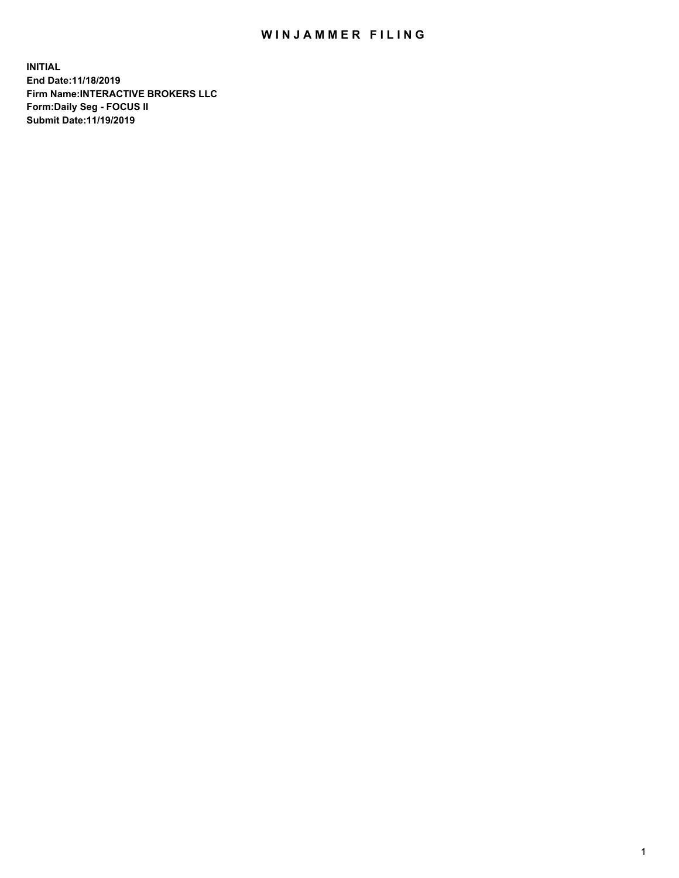## WIN JAMMER FILING

**INITIAL End Date:11/18/2019 Firm Name:INTERACTIVE BROKERS LLC Form:Daily Seg - FOCUS II Submit Date:11/19/2019**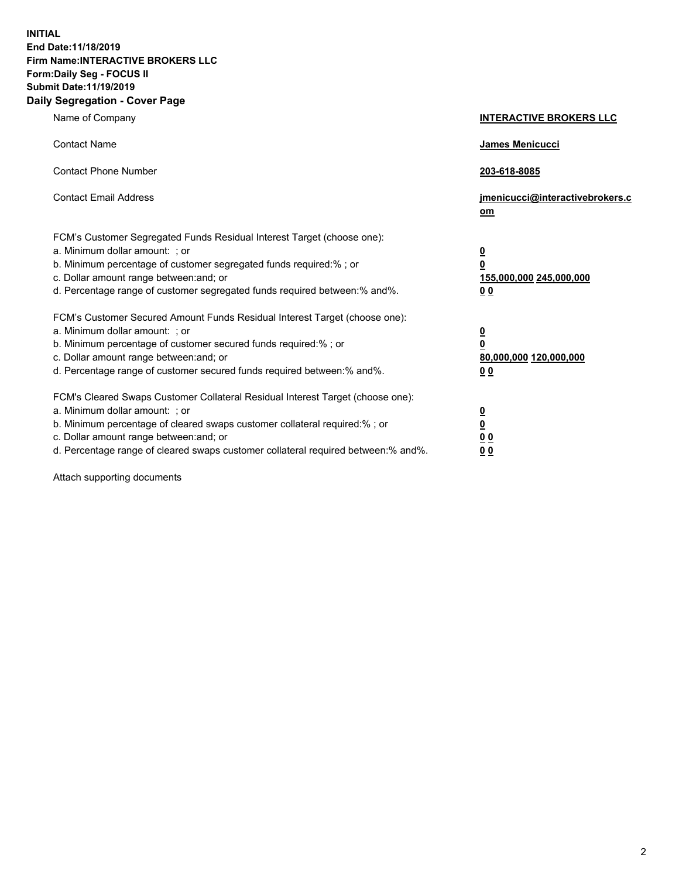**INITIAL End Date:11/18/2019 Firm Name:INTERACTIVE BROKERS LLC Form:Daily Seg - FOCUS II Submit Date:11/19/2019 Daily Segregation - Cover Page**

| Name of Company                                                                                                                                                                                                                                                                                                                | <b>INTERACTIVE BROKERS LLC</b>                                                                 |
|--------------------------------------------------------------------------------------------------------------------------------------------------------------------------------------------------------------------------------------------------------------------------------------------------------------------------------|------------------------------------------------------------------------------------------------|
| <b>Contact Name</b>                                                                                                                                                                                                                                                                                                            | James Menicucci                                                                                |
| <b>Contact Phone Number</b>                                                                                                                                                                                                                                                                                                    | 203-618-8085                                                                                   |
| <b>Contact Email Address</b>                                                                                                                                                                                                                                                                                                   | jmenicucci@interactivebrokers.c<br>om                                                          |
| FCM's Customer Segregated Funds Residual Interest Target (choose one):<br>a. Minimum dollar amount: : or<br>b. Minimum percentage of customer segregated funds required:% ; or<br>c. Dollar amount range between: and; or<br>d. Percentage range of customer segregated funds required between:% and%.                         | $\overline{\mathbf{0}}$<br>$\overline{\mathbf{0}}$<br>155,000,000 245,000,000<br>00            |
| FCM's Customer Secured Amount Funds Residual Interest Target (choose one):<br>a. Minimum dollar amount: ; or<br>b. Minimum percentage of customer secured funds required:%; or<br>c. Dollar amount range between: and; or<br>d. Percentage range of customer secured funds required between:% and%.                            | $\overline{\mathbf{0}}$<br>$\overline{\mathbf{0}}$<br>80,000,000 120,000,000<br>0 <sub>0</sub> |
| FCM's Cleared Swaps Customer Collateral Residual Interest Target (choose one):<br>a. Minimum dollar amount: ; or<br>b. Minimum percentage of cleared swaps customer collateral required:% ; or<br>c. Dollar amount range between: and; or<br>d. Percentage range of cleared swaps customer collateral required between:% and%. | $\frac{0}{0}$<br>0 <sub>0</sub><br>0 <sub>0</sub>                                              |

Attach supporting documents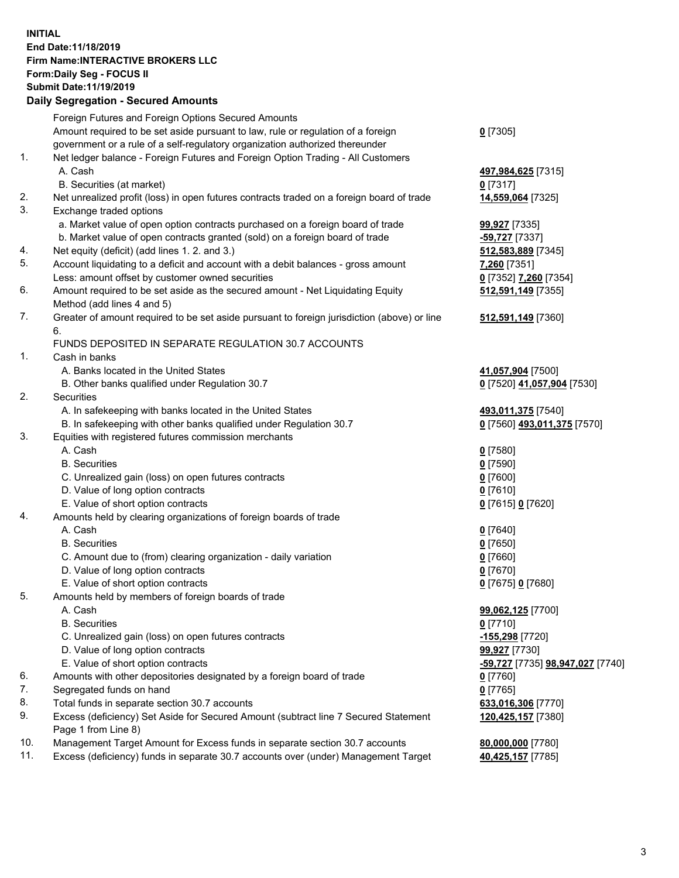## **INITIAL End Date:11/18/2019 Firm Name:INTERACTIVE BROKERS LLC Form:Daily Seg - FOCUS II Submit Date:11/19/2019 Daily Segregation - Secured Amounts**

|     | Daily Segregation - Secured Alliounts                                                       |                                  |
|-----|---------------------------------------------------------------------------------------------|----------------------------------|
|     | Foreign Futures and Foreign Options Secured Amounts                                         |                                  |
|     | Amount required to be set aside pursuant to law, rule or regulation of a foreign            | $0$ [7305]                       |
|     | government or a rule of a self-regulatory organization authorized thereunder                |                                  |
| 1.  | Net ledger balance - Foreign Futures and Foreign Option Trading - All Customers             |                                  |
|     | A. Cash                                                                                     | 497,984,625 [7315]               |
|     | B. Securities (at market)                                                                   | $0$ [7317]                       |
| 2.  | Net unrealized profit (loss) in open futures contracts traded on a foreign board of trade   | 14,559,064 [7325]                |
| 3.  | Exchange traded options                                                                     |                                  |
|     | a. Market value of open option contracts purchased on a foreign board of trade              | <b>99,927</b> [7335]             |
|     | b. Market value of open contracts granted (sold) on a foreign board of trade                | $-59,727$ [7337]                 |
| 4.  | Net equity (deficit) (add lines 1. 2. and 3.)                                               | 512,583,889 [7345]               |
| 5.  | Account liquidating to a deficit and account with a debit balances - gross amount           | 7,260 [7351]                     |
|     | Less: amount offset by customer owned securities                                            | 0 [7352] 7,260 [7354]            |
| 6.  | Amount required to be set aside as the secured amount - Net Liquidating Equity              | 512,591,149 [7355]               |
|     | Method (add lines 4 and 5)                                                                  |                                  |
| 7.  | Greater of amount required to be set aside pursuant to foreign jurisdiction (above) or line | 512,591,149 [7360]               |
|     | 6.                                                                                          |                                  |
|     | FUNDS DEPOSITED IN SEPARATE REGULATION 30.7 ACCOUNTS                                        |                                  |
| 1.  | Cash in banks                                                                               |                                  |
|     | A. Banks located in the United States                                                       | 41,057,904 [7500]                |
|     | B. Other banks qualified under Regulation 30.7                                              | 0 [7520] 41,057,904 [7530]       |
| 2.  | Securities                                                                                  |                                  |
|     | A. In safekeeping with banks located in the United States                                   | 493,011,375 [7540]               |
|     | B. In safekeeping with other banks qualified under Regulation 30.7                          | 0 [7560] 493,011,375 [7570]      |
| 3.  | Equities with registered futures commission merchants                                       |                                  |
|     | A. Cash                                                                                     | $0$ [7580]                       |
|     | <b>B.</b> Securities                                                                        | $0$ [7590]                       |
|     | C. Unrealized gain (loss) on open futures contracts                                         | $0$ [7600]                       |
|     | D. Value of long option contracts                                                           | $0$ [7610]                       |
|     | E. Value of short option contracts                                                          | 0 [7615] 0 [7620]                |
| 4.  | Amounts held by clearing organizations of foreign boards of trade                           |                                  |
|     | A. Cash                                                                                     | $0$ [7640]                       |
|     | <b>B.</b> Securities                                                                        | $0$ [7650]                       |
|     | C. Amount due to (from) clearing organization - daily variation                             | $0$ [7660]                       |
|     | D. Value of long option contracts                                                           | $0$ [7670]                       |
|     | E. Value of short option contracts                                                          | 0 [7675] 0 [7680]                |
| 5.  | Amounts held by members of foreign boards of trade                                          |                                  |
|     | A. Cash                                                                                     | 99,062,125 [7700]                |
|     | <b>B.</b> Securities                                                                        | $0$ [7710]                       |
|     | C. Unrealized gain (loss) on open futures contracts                                         | -155,298 [7720]                  |
|     | D. Value of long option contracts                                                           | 99,927 [7730]                    |
|     | E. Value of short option contracts                                                          | -59,727 [7735] 98,947,027 [7740] |
| 6.  | Amounts with other depositories designated by a foreign board of trade                      | 0 [7760]                         |
| 7.  | Segregated funds on hand                                                                    | $0$ [7765]                       |
| 8.  | Total funds in separate section 30.7 accounts                                               | 633,016,306 [7770]               |
| 9.  | Excess (deficiency) Set Aside for Secured Amount (subtract line 7 Secured Statement         | 120,425,157 [7380]               |
| 10. | Page 1 from Line 8)                                                                         |                                  |
| 11. | Management Target Amount for Excess funds in separate section 30.7 accounts                 | 80,000,000 [7780]                |
|     | Excess (deficiency) funds in separate 30.7 accounts over (under) Management Target          | 40,425,157 [7785]                |
|     |                                                                                             |                                  |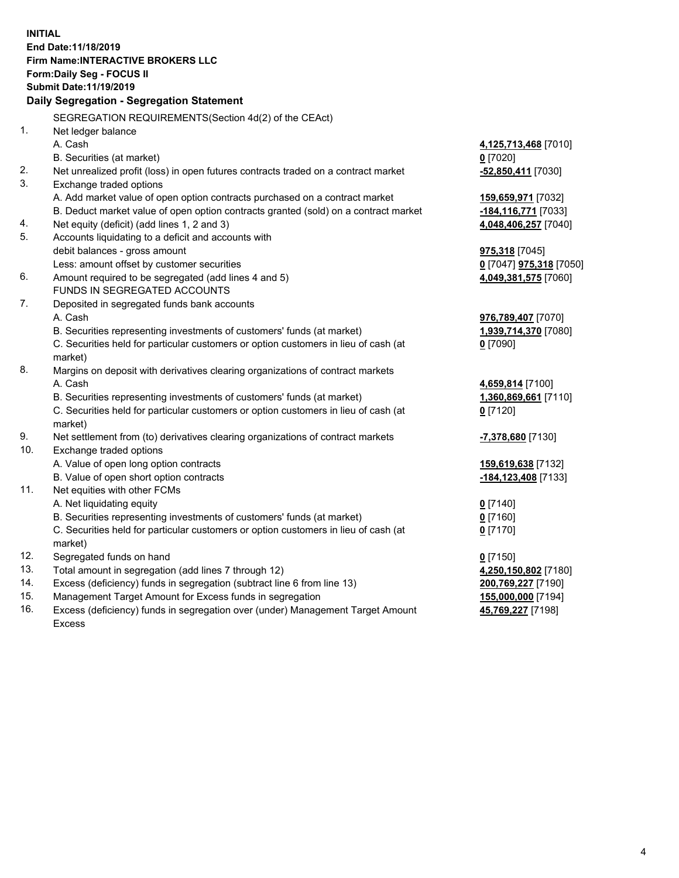**INITIAL End Date:11/18/2019 Firm Name:INTERACTIVE BROKERS LLC Form:Daily Seg - FOCUS II Submit Date:11/19/2019 Daily Segregation - Segregation Statement** SEGREGATION REQUIREMENTS(Section 4d(2) of the CEAct) 1. Net ledger balance A. Cash **4,125,713,468** [7010] B. Securities (at market) **0** [7020] 2. Net unrealized profit (loss) in open futures contracts traded on a contract market **-52,850,411** [7030] 3. Exchange traded options A. Add market value of open option contracts purchased on a contract market **159,659,971** [7032] B. Deduct market value of open option contracts granted (sold) on a contract market **-184,116,771** [7033] 4. Net equity (deficit) (add lines 1, 2 and 3) **4,048,406,257** [7040] 5. Accounts liquidating to a deficit and accounts with debit balances - gross amount **975,318** [7045] Less: amount offset by customer securities **0** [7047] **975,318** [7050] 6. Amount required to be segregated (add lines 4 and 5) **4,049,381,575** [7060] FUNDS IN SEGREGATED ACCOUNTS 7. Deposited in segregated funds bank accounts A. Cash **976,789,407** [7070] B. Securities representing investments of customers' funds (at market) **1,939,714,370** [7080] C. Securities held for particular customers or option customers in lieu of cash (at market) **0** [7090] 8. Margins on deposit with derivatives clearing organizations of contract markets A. Cash **4,659,814** [7100] B. Securities representing investments of customers' funds (at market) **1,360,869,661** [7110] C. Securities held for particular customers or option customers in lieu of cash (at market) **0** [7120] 9. Net settlement from (to) derivatives clearing organizations of contract markets **-7,378,680** [7130] 10. Exchange traded options A. Value of open long option contracts **159,619,638** [7132] B. Value of open short option contracts **-184,123,408** [7133] 11. Net equities with other FCMs A. Net liquidating equity **0** [7140] B. Securities representing investments of customers' funds (at market) **0** [7160] C. Securities held for particular customers or option customers in lieu of cash (at market) **0** [7170] 12. Segregated funds on hand **0** [7150] 13. Total amount in segregation (add lines 7 through 12) **4,250,150,802** [7180] 14. Excess (deficiency) funds in segregation (subtract line 6 from line 13) **200,769,227** [7190] 15. Management Target Amount for Excess funds in segregation **155,000,000** [7194] 16. Excess (deficiency) funds in segregation over (under) Management Target Amount **45,769,227** [7198]

Excess